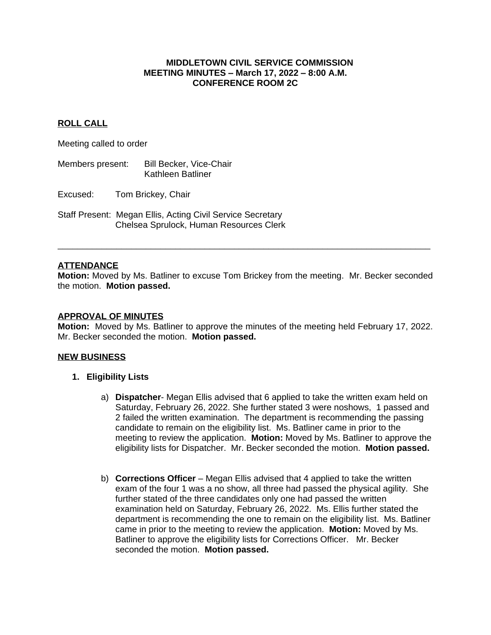#### **MIDDLETOWN CIVIL SERVICE COMMISSION MEETING MINUTES – March 17, 2022 – 8:00 A.M. CONFERENCE ROOM 2C**

## **ROLL CALL**

Meeting called to order

Members present: Bill Becker, Vice-Chair Kathleen Batliner

Excused: Tom Brickey, Chair

Staff Present: Megan Ellis, Acting Civil Service Secretary Chelsea Sprulock, Human Resources Clerk

### **ATTENDANCE**

**Motion:** Moved by Ms. Batliner to excuse Tom Brickey from the meeting. Mr. Becker seconded the motion. **Motion passed.**

**\_\_\_\_\_\_\_\_\_\_\_\_\_\_\_\_\_\_\_\_\_\_\_\_\_\_\_\_\_\_\_\_\_\_\_\_\_\_\_\_\_\_\_\_\_\_\_\_\_\_\_\_\_\_\_\_\_\_\_\_\_\_\_\_\_\_\_\_\_\_\_\_\_\_\_\_**

#### **APPROVAL OF MINUTES**

**Motion:** Moved by Ms. Batliner to approve the minutes of the meeting held February 17, 2022. Mr. Becker seconded the motion. **Motion passed.**

### **NEW BUSINESS**

### **1. Eligibility Lists**

- a) **Dispatcher** Megan Ellis advised that 6 applied to take the written exam held on Saturday, February 26, 2022. She further stated 3 were noshows, 1 passed and 2 failed the written examination. The department is recommending the passing candidate to remain on the eligibility list. Ms. Batliner came in prior to the meeting to review the application. **Motion:** Moved by Ms. Batliner to approve the eligibility lists for Dispatcher. Mr. Becker seconded the motion. **Motion passed.**
- b) **Corrections Officer** Megan Ellis advised that 4 applied to take the written exam of the four 1 was a no show, all three had passed the physical agility. She further stated of the three candidates only one had passed the written examination held on Saturday, February 26, 2022. Ms. Ellis further stated the department is recommending the one to remain on the eligibility list. Ms. Batliner came in prior to the meeting to review the application. **Motion:** Moved by Ms. Batliner to approve the eligibility lists for Corrections Officer. Mr. Becker seconded the motion. **Motion passed.**